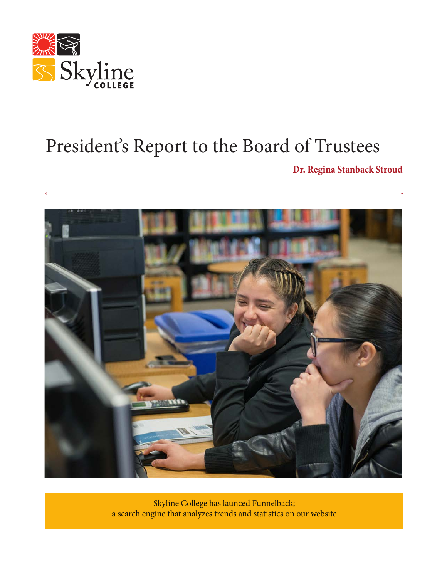

### President's Report to the Board of Trustees

**Dr. Regina Stanback Stroud**



Skyline College has launced Funnelback; a search engine that analyzes trends and statistics on our website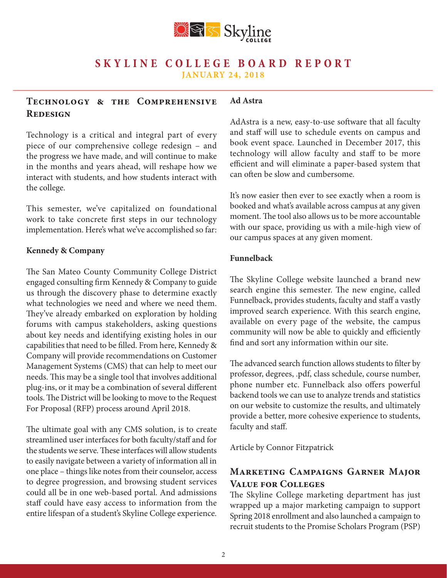

#### **Technology & the Comprehensive Redesign Ad Astra**

Technology is a critical and integral part of every piece of our comprehensive college redesign – and the progress we have made, and will continue to make in the months and years ahead, will reshape how we interact with students, and how students interact with the college.

This semester, we've capitalized on foundational work to take concrete first steps in our technology implementation. Here's what we've accomplished so far:

### **Kennedy & Company**

The San Mateo County Community College District engaged consulting firm Kennedy & Company to guide us through the discovery phase to determine exactly what technologies we need and where we need them. They've already embarked on exploration by holding forums with campus stakeholders, asking questions about key needs and identifying existing holes in our capabilities that need to be filled. From here, Kennedy & Company will provide recommendations on Customer Management Systems (CMS) that can help to meet our needs. This may be a single tool that involves additional plug-ins, or it may be a combination of several different tools. The District will be looking to move to the Request For Proposal (RFP) process around April 2018.

The ultimate goal with any CMS solution, is to create streamlined user interfaces for both faculty/staff and for the students we serve. These interfaces will allow students to easily navigate between a variety of information all in one place – things like notes from their counselor, access to degree progression, and browsing student services could all be in one web-based portal. And admissions staff could have easy access to information from the entire lifespan of a student's Skyline College experience.

AdAstra is a new, easy-to-use software that all faculty and staff will use to schedule events on campus and book event space. Launched in December 2017, this technology will allow faculty and staff to be more efficient and will eliminate a paper-based system that can often be slow and cumbersome.

It's now easier then ever to see exactly when a room is booked and what's available across campus at any given moment. The tool also allows us to be more accountable with our space, providing us with a mile-high view of our campus spaces at any given moment.

### **Funnelback**

The Skyline College website launched a brand new search engine this semester. The new engine, called Funnelback, provides students, faculty and staff a vastly improved search experience. With this search engine, available on every page of the website, the campus community will now be able to quickly and efficiently find and sort any information within our site.

The advanced search function allows students to filter by professor, degrees, .pdf, class schedule, course number, phone number etc. Funnelback also offers powerful backend tools we can use to analyze trends and statistics on our website to customize the results, and ultimately provide a better, more cohesive experience to students, faculty and staff.

Article by Connor Fitzpatrick

### **Marketing Campaigns Garner Major Value for Colleges**

The Skyline College marketing department has just wrapped up a major marketing campaign to support Spring 2018 enrollment and also launched a campaign to recruit students to the Promise Scholars Program (PSP)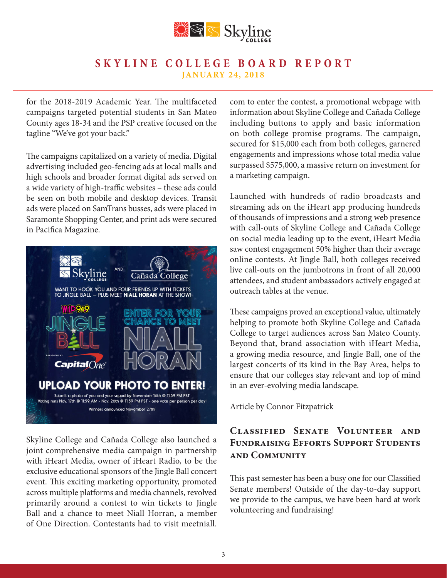

for the 2018-2019 Academic Year. The multifaceted campaigns targeted potential students in San Mateo County ages 18-34 and the PSP creative focused on the tagline "We've got your back."

The campaigns capitalized on a variety of media. Digital advertising included geo-fencing ads at local malls and high schools and broader format digital ads served on a wide variety of high-traffic websites – these ads could be seen on both mobile and desktop devices. Transit ads were placed on SamTrans busses, ads were placed in Saramonte Shopping Center, and print ads were secured in Pacifica Magazine.



Skyline College and Cañada College also launched a joint comprehensive media campaign in partnership with iHeart Media, owner of iHeart Radio, to be the exclusive educational sponsors of the Jingle Ball concert event. This exciting marketing opportunity, promoted across multiple platforms and media channels, revolved primarily around a contest to win tickets to Jingle Ball and a chance to meet Niall Horran, a member of One Direction. Contestants had to visit meetniall.

com to enter the contest, a promotional webpage with information about Skyline College and Cañada College including buttons to apply and basic information on both college promise programs. The campaign, secured for \$15,000 each from both colleges, garnered engagements and impressions whose total media value surpassed \$575,000, a massive return on investment for a marketing campaign.

Launched with hundreds of radio broadcasts and streaming ads on the iHeart app producing hundreds of thousands of impressions and a strong web presence with call-outs of Skyline College and Cañada College on social media leading up to the event, iHeart Media saw contest engagement 50% higher than their average online contests. At Jingle Ball, both colleges received live call-outs on the jumbotrons in front of all 20,000 attendees, and student ambassadors actively engaged at outreach tables at the venue.

These campaigns proved an exceptional value, ultimately helping to promote both Skyline College and Cañada College to target audiences across San Mateo County. Beyond that, brand association with iHeart Media, a growing media resource, and Jingle Ball, one of the largest concerts of its kind in the Bay Area, helps to ensure that our colleges stay relevant and top of mind in an ever-evolving media landscape.

Article by Connor Fitzpatrick

### **Classified Senate Volunteer and Fundraising Efforts Support Students and Community**

This past semester has been a busy one for our Classified Senate members! Outside of the day-to-day support we provide to the campus, we have been hard at work volunteering and fundraising!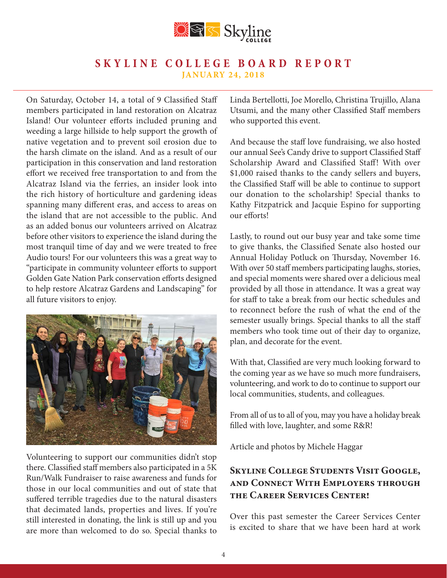

On Saturday, October 14, a total of 9 Classified Staff members participated in land restoration on Alcatraz Island! Our volunteer efforts included pruning and weeding a large hillside to help support the growth of native vegetation and to prevent soil erosion due to the harsh climate on the island. And as a result of our participation in this conservation and land restoration effort we received free transportation to and from the Alcatraz Island via the ferries, an insider look into the rich history of horticulture and gardening ideas spanning many different eras, and access to areas on the island that are not accessible to the public. And as an added bonus our volunteers arrived on Alcatraz before other visitors to experience the island during the most tranquil time of day and we were treated to free Audio tours! For our volunteers this was a great way to "participate in community volunteer efforts to support Golden Gate Nation Park conservation efforts designed to help restore Alcatraz Gardens and Landscaping" for all future visitors to enjoy.



Volunteering to support our communities didn't stop there. Classified staff members also participated in a 5K Run/Walk Fundraiser to raise awareness and funds for those in our local communities and out of state that suffered terrible tragedies due to the natural disasters that decimated lands, properties and lives. If you're still interested in donating, the link is still up and you are more than welcomed to do so. Special thanks to

Linda Bertellotti, Joe Morello, Christina Trujillo, Alana Utsumi, and the many other Classified Staff members who supported this event.

And because the staff love fundraising, we also hosted our annual See's Candy drive to support Classified Staff Scholarship Award and Classified Staff! With over \$1,000 raised thanks to the candy sellers and buyers, the Classified Staff will be able to continue to support our donation to the scholarship! Special thanks to Kathy Fitzpatrick and Jacquie Espino for supporting our efforts!

Lastly, to round out our busy year and take some time to give thanks, the Classified Senate also hosted our Annual Holiday Potluck on Thursday, November 16. With over 50 staff members participating laughs, stories, and special moments were shared over a delicious meal provided by all those in attendance. It was a great way for staff to take a break from our hectic schedules and to reconnect before the rush of what the end of the semester usually brings. Special thanks to all the staff members who took time out of their day to organize, plan, and decorate for the event.

With that, Classified are very much looking forward to the coming year as we have so much more fundraisers, volunteering, and work to do to continue to support our local communities, students, and colleagues.

From all of us to all of you, may you have a holiday break filled with love, laughter, and some R&R!

Article and photos by Michele Haggar

### **Skyline College Students Visit Google, and Connect With Employers through the Career Services Center!**

Over this past semester the Career Services Center is excited to share that we have been hard at work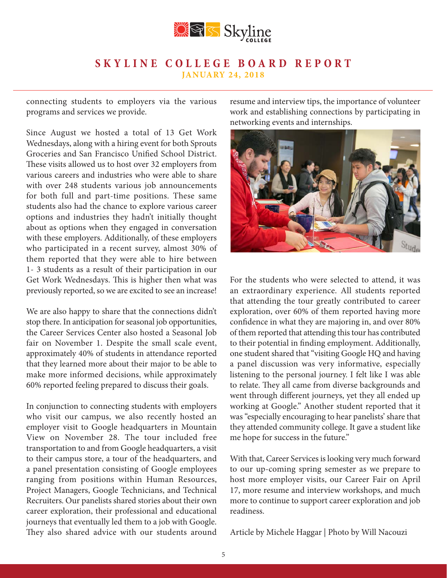

connecting students to employers via the various programs and services we provide.

Since August we hosted a total of 13 Get Work Wednesdays, along with a hiring event for both Sprouts Groceries and San Francisco Unified School District. These visits allowed us to host over 32 employers from various careers and industries who were able to share with over 248 students various job announcements for both full and part-time positions. These same students also had the chance to explore various career options and industries they hadn't initially thought about as options when they engaged in conversation with these employers. Additionally, of these employers who participated in a recent survey, almost 30% of them reported that they were able to hire between 1- 3 students as a result of their participation in our Get Work Wednesdays. This is higher then what was previously reported, so we are excited to see an increase!

We are also happy to share that the connections didn't stop there. In anticipation for seasonal job opportunities, the Career Services Center also hosted a Seasonal Job fair on November 1. Despite the small scale event, approximately 40% of students in attendance reported that they learned more about their major to be able to make more informed decisions, while approximately 60% reported feeling prepared to discuss their goals.

In conjunction to connecting students with employers who visit our campus, we also recently hosted an employer visit to Google headquarters in Mountain View on November 28. The tour included free transportation to and from Google headquarters, a visit to their campus store, a tour of the headquarters, and a panel presentation consisting of Google employees ranging from positions within Human Resources, Project Managers, Google Technicians, and Technical Recruiters. Our panelists shared stories about their own career exploration, their professional and educational journeys that eventually led them to a job with Google. They also shared advice with our students around

resume and interview tips, the importance of volunteer work and establishing connections by participating in networking events and internships.



For the students who were selected to attend, it was an extraordinary experience. All students reported that attending the tour greatly contributed to career exploration, over 60% of them reported having more confidence in what they are majoring in, and over 80% of them reported that attending this tour has contributed to their potential in finding employment. Additionally, one student shared that "visiting Google HQ and having a panel discussion was very informative, especially listening to the personal journey. I felt like I was able to relate. They all came from diverse backgrounds and went through different journeys, yet they all ended up working at Google." Another student reported that it was "especially encouraging to hear panelists' share that they attended community college. It gave a student like me hope for success in the future."

With that, Career Services is looking very much forward to our up-coming spring semester as we prepare to host more employer visits, our Career Fair on April 17, more resume and interview workshops, and much more to continue to support career exploration and job readiness.

Article by Michele Haggar | Photo by Will Nacouzi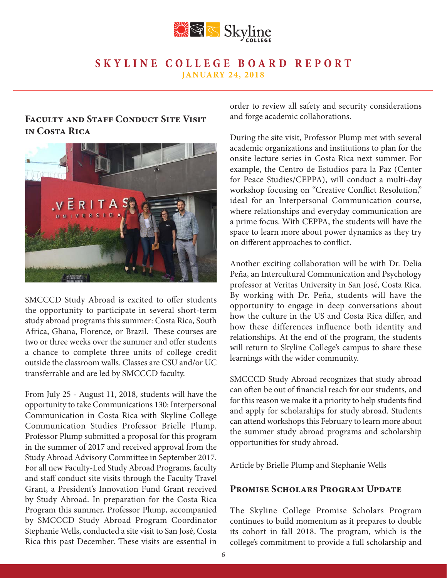

### **FACULTY AND STAFF CONDUCT SITE VISIT in Costa Rica**



SMCCCD Study Abroad is excited to offer students the opportunity to participate in several short-term study abroad programs this summer: Costa Rica, South Africa, Ghana, Florence, or Brazil. These courses are two or three weeks over the summer and offer students a chance to complete three units of college credit outside the classroom walls. Classes are CSU and/or UC transferrable and are led by SMCCCD faculty.

From July 25 - August 11, 2018, students will have the opportunity to take Communications 130: Interpersonal Communication in Costa Rica with Skyline College Communication Studies Professor Brielle Plump. Professor Plump submitted a proposal for this program in the summer of 2017 and received approval from the Study Abroad Advisory Committee in September 2017. For all new Faculty-Led Study Abroad Programs, faculty and staff conduct site visits through the Faculty Travel Grant, a President's Innovation Fund Grant received by Study Abroad. In preparation for the Costa Rica Program this summer, Professor Plump, accompanied by SMCCCD Study Abroad Program Coordinator Stephanie Wells, conducted a site visit to San José, Costa Rica this past December. These visits are essential in

order to review all safety and security considerations and forge academic collaborations.

During the site visit, Professor Plump met with several academic organizations and institutions to plan for the onsite lecture series in Costa Rica next summer. For example, the Centro de Estudios para la Paz (Center for Peace Studies/CEPPA), will conduct a multi-day workshop focusing on "Creative Conflict Resolution," ideal for an Interpersonal Communication course, where relationships and everyday communication are a prime focus. With CEPPA, the students will have the space to learn more about power dynamics as they try on different approaches to conflict.

Another exciting collaboration will be with Dr. Delia Peña, an Intercultural Communication and Psychology professor at Veritas University in San José, Costa Rica. By working with Dr. Peña, students will have the opportunity to engage in deep conversations about how the culture in the US and Costa Rica differ, and how these differences influence both identity and relationships. At the end of the program, the students will return to Skyline College's campus to share these learnings with the wider community.

SMCCCD Study Abroad recognizes that study abroad can often be out of financial reach for our students, and for this reason we make it a priority to help students find and apply for scholarships for study abroad. Students can attend workshops this February to learn more about the summer study abroad programs and scholarship opportunities for study abroad.

Article by Brielle Plump and Stephanie Wells

### PROMISE SCHOLARS PROGRAM UPDATE

The Skyline College Promise Scholars Program continues to build momentum as it prepares to double its cohort in fall 2018. The program, which is the college's commitment to provide a full scholarship and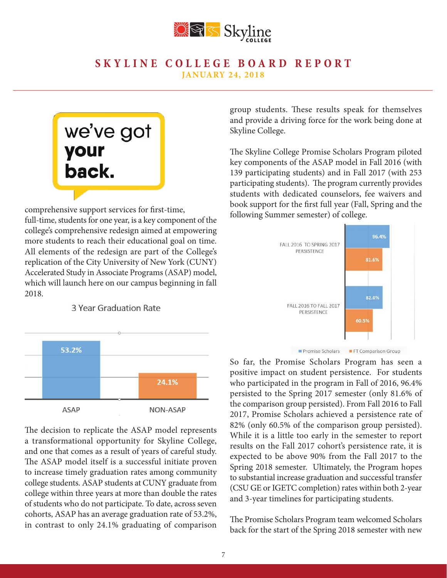

## we've got your<br>back.

comprehensive support services for first-time,

full-time, students for one year, is a key component of the college's comprehensive redesign aimed at empowering more students to reach their educational goal on time. All elements of the redesign are part of the College's replication of the City University of New York (CUNY) Accelerated Study in Associate Programs (ASAP) model, which will launch here on our campus beginning in fall 2018.

3 Year Graduation Rate



The decision to replicate the ASAP model represents a transformational opportunity for Skyline College, and one that comes as a result of years of careful study. The ASAP model itself is a successful initiate proven to increase timely graduation rates among community college students. ASAP students at CUNY graduate from college within three years at more than double the rates of students who do not participate. To date, across seven cohorts, ASAP has an average graduation rate of 53.2%, in contrast to only 24.1% graduating of comparison

group students. These results speak for themselves and provide a driving force for the work being done at Skyline College.

The Skyline College Promise Scholars Program piloted key components of the ASAP model in Fall 2016 (with 139 participating students) and in Fall 2017 (with 253 participating students). The program currently provides students with dedicated counselors, fee waivers and book support for the first full year (Fall, Spring and the following Summer semester) of college.



Promise Scholars FT Comparison Group

So far, the Promise Scholars Program has seen a positive impact on student persistence. For students who participated in the program in Fall of 2016, 96.4% persisted to the Spring 2017 semester (only 81.6% of the comparison group persisted). From Fall 2016 to Fall 2017, Promise Scholars achieved a persistence rate of 82% (only 60.5% of the comparison group persisted). While it is a little too early in the semester to report results on the Fall 2017 cohort's persistence rate, it is expected to be above 90% from the Fall 2017 to the Spring 2018 semester. Ultimately, the Program hopes to substantial increase graduation and successful transfer (CSU GE or IGETC completion) rates within both 2-year and 3-year timelines for participating students.

The Promise Scholars Program team welcomed Scholars back for the start of the Spring 2018 semester with new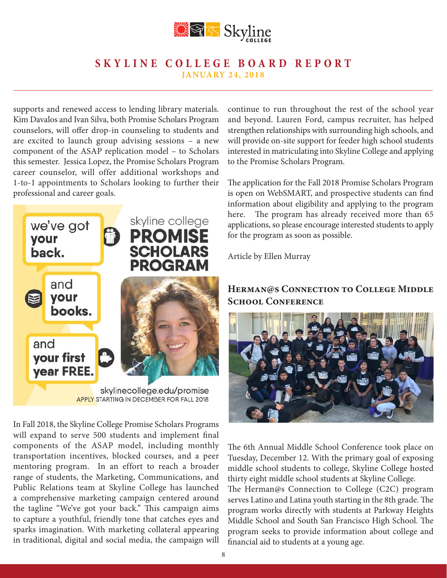

supports and renewed access to lending library materials. Kim Davalos and Ivan Silva, both Promise Scholars Program counselors, will offer drop-in counseling to students and are excited to launch group advising sessions – a new component of the ASAP replication model – to Scholars this semester. Jessica Lopez, the Promise Scholars Program career counselor, will offer additional workshops and 1-to-1 appointments to Scholars looking to further their professional and career goals.



**APPLY STARTING IN DECEMBER FOR FALL 2018** 

In Fall 2018, the Skyline College Promise Scholars Programs will expand to serve 500 students and implement final components of the ASAP model, including monthly transportation incentives, blocked courses, and a peer mentoring program. In an effort to reach a broader range of students, the Marketing, Communications, and Public Relations team at Skyline College has launched a comprehensive marketing campaign centered around the tagline "We've got your back." This campaign aims to capture a youthful, friendly tone that catches eyes and sparks imagination. With marketing collateral appearing in traditional, digital and social media, the campaign will continue to run throughout the rest of the school year and beyond. Lauren Ford, campus recruiter, has helped strengthen relationships with surrounding high schools, and will provide on-site support for feeder high school students interested in matriculating into Skyline College and applying to the Promise Scholars Program.

The application for the Fall 2018 Promise Scholars Program is open on WebSMART, and prospective students can find information about eligibility and applying to the program here. The program has already received more than 65 applications, so please encourage interested students to apply for the program as soon as possible.

Article by Ellen Murray

### **Herman@s Connection to College Middle School Conference**



The 6th Annual Middle School Conference took place on Tuesday, December 12. With the primary goal of exposing middle school students to college, Skyline College hosted thirty eight middle school students at Skyline College.

The Herman@s Connection to College (C2C) program serves Latino and Latina youth starting in the 8th grade. The program works directly with students at Parkway Heights Middle School and South San Francisco High School. The program seeks to provide information about college and financial aid to students at a young age.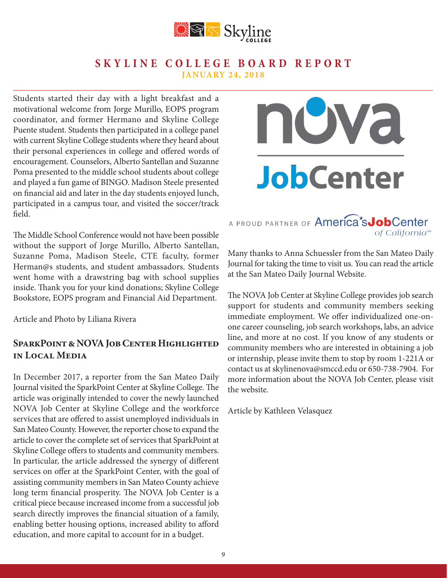

Students started their day with a light breakfast and a motivational welcome from Jorge Murillo, EOPS program coordinator, and former Hermano and Skyline College Puente student. Students then participated in a college panel with current Skyline College students where they heard about their personal experiences in college and offered words of encouragement. Counselors, Alberto Santellan and Suzanne Poma presented to the middle school students about college and played a fun game of BINGO. Madison Steele presented on financial aid and later in the day students enjoyed lunch, participated in a campus tour, and visited the soccer/track field.

The Middle School Conference would not have been possible without the support of Jorge Murillo, Alberto Santellan, Suzanne Poma, Madison Steele, CTE faculty, former Herman@s students, and student ambassadors. Students went home with a drawstring bag with school supplies inside. Thank you for your kind donations; Skyline College Bookstore, EOPS program and Financial Aid Department.

Article and Photo by Liliana Rivera

### **SparkPoint & NOVA Job Center Highlighted in Local Media**

In December 2017, a reporter from the San Mateo Daily Journal visited the SparkPoint Center at Skyline College. The article was originally intended to cover the newly launched NOVA Job Center at Skyline College and the workforce services that are offered to assist unemployed individuals in San Mateo County. However, the reporter chose to expand the article to cover the complete set of services that SparkPoint at Skyline College offers to students and community members. In particular, the article addressed the synergy of different services on offer at the SparkPoint Center, with the goal of assisting community members in San Mateo County achieve long term financial prosperity. The NOVA Job Center is a critical piece because increased income from a successful job search directly improves the financial situation of a family, enabling better housing options, increased ability to afford education, and more capital to account for in a budget.

# UVA **JobCenter**

### A PROUD PARTNER OF America's Job Center of California<sup>™</sup>

Many thanks to Anna Schuessler from the San Mateo Daily Journal for taking the time to visit us. You can read the article at the San Mateo Daily Journal Website.

The NOVA Job Center at Skyline College provides job search support for students and community members seeking immediate employment. We offer individualized one-onone career counseling, job search workshops, labs, an advice line, and more at no cost. If you know of any students or community members who are interested in obtaining a job or internship, please invite them to stop by room 1-221A or contact us at skylinenova@smccd.edu or 650-738-7904. For more information about the NOVA Job Center, please visit the website.

Article by Kathleen Velasquez